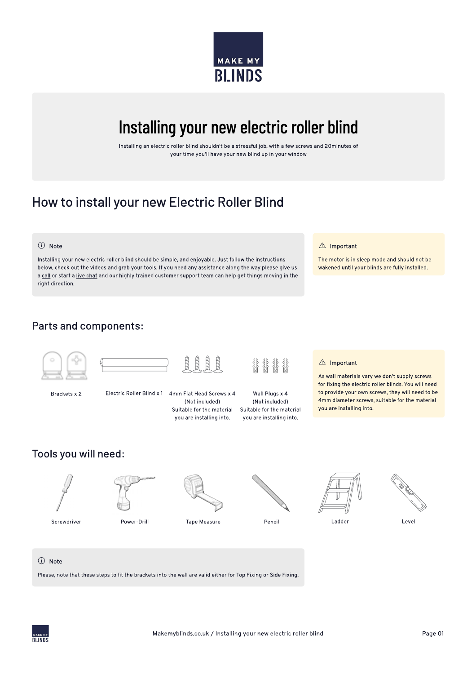

# Installing your new electric roller blind

Installing an electric roller blind shouldn't be a stressful job, with a few screws and 20minutes of your time you'll have your new blind up in your window

 $\triangle$  Important

The motor is in sleep mode and should not be wakened until your blinds are fully installed.

# How to install your new Electric Roller Blind

#### (i) Note

Installing your new electric roller blind should be simple, and enjoyable. Just follow the instructions below, check out the videos and grab your tools. If you need any assistance along the way please give us a call or start a live chat and our highly trained customer support team can help get things moving in the right direction.

## Parts and components:



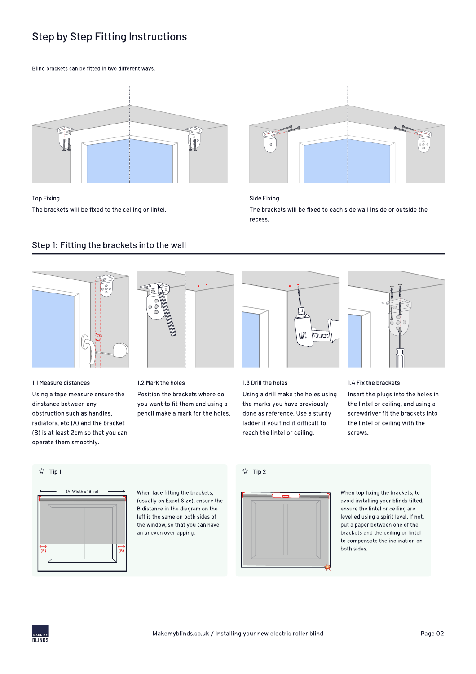# Step by Step Fitting Instructions

#### Blind brackets can be fitted in two different ways.



### Top Fixing The brackets will be fixed to the ceiling or lintel.



#### Side Fixing

The brackets will be fixed to each side wall inside or outside the recess.

## Step 1: Fitting the brackets into the wall





#### 1.1 Measure distances

Using a tape measure ensure the dinstance between any obstruction such as handles, radiators, etc (A) and the bracket (B) is at least 2cm so that you can operate them smoothly.

#### 1.2 Mark the holes

c

Position the brackets where do you want to fit them and using a pencil make a mark for the holes.



#### 1.3 Drill the holes

Using a drill make the holes using the marks you have previously done as reference. Use a sturdy ladder if you find it difficult to reach the lintel or ceiling.



#### 1.4 Fix the brackets

Insert the plugs into the holes in the lintel or ceiling, and using a screwdriver fit the brackets into the lintel or ceiling with the screws.

#### Tip 1



 When face fitting the brackets, (usually on Exact Size), ensure the B distance in the diagram on the left is the same on both sides of the window, so that you can have an uneven overlapping.

#### Tip 2



When top fixing the brackets, to avoid installing your blinds tilted, ensure the lintel or ceiling are levelled using a spirit level. If not, put a paper between one of the brackets and the ceiling or lintel to compensate the inclination on both sides.

**BLINDS**